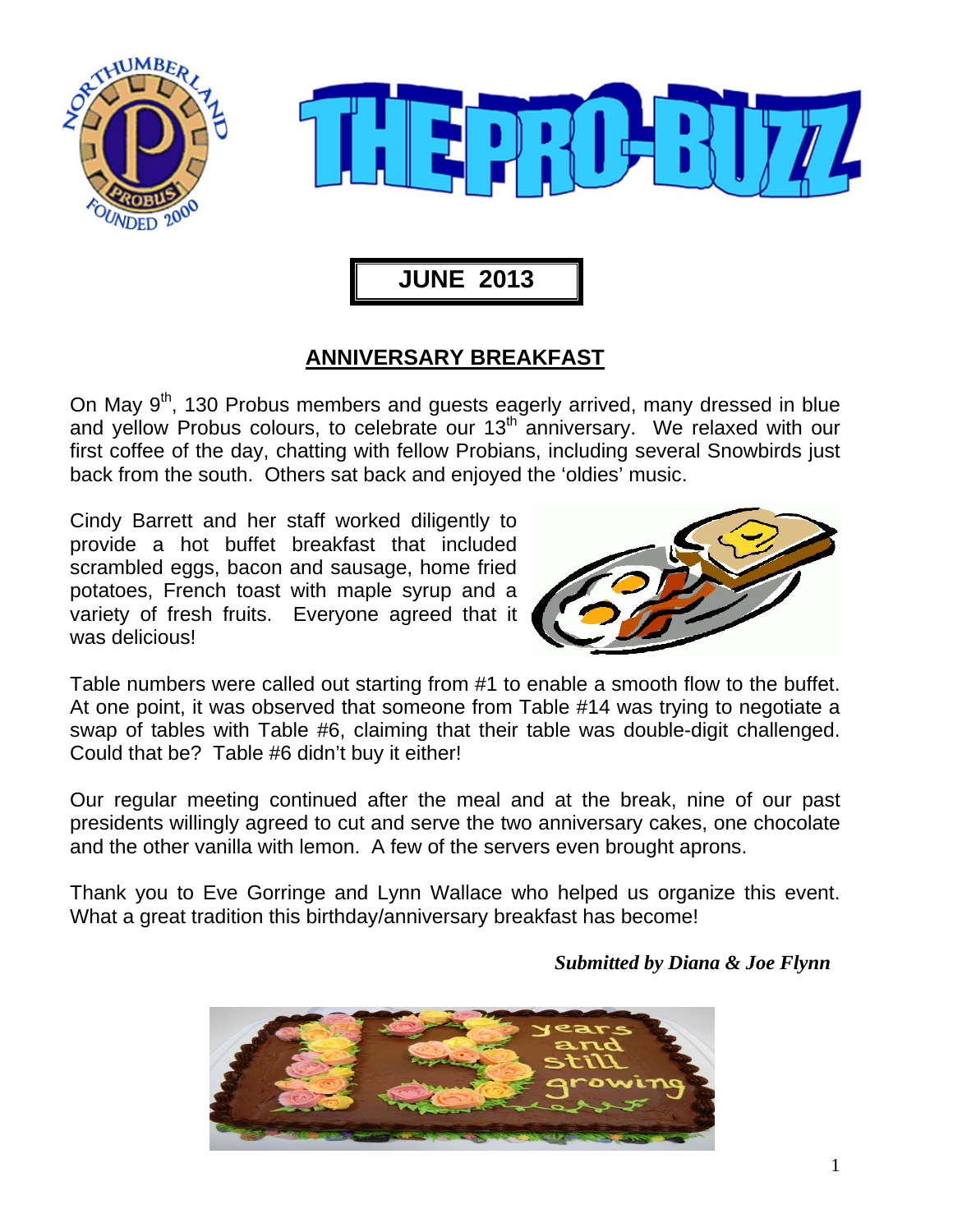



 **JUNE 2013** 

## **ANNIVERSARY BREAKFAST**

On May  $9<sup>th</sup>$ , 130 Probus members and quests eagerly arrived, many dressed in blue and yellow Probus colours, to celebrate our 13<sup>th</sup> anniversary. We relaxed with our first coffee of the day, chatting with fellow Probians, including several Snowbirds just back from the south. Others sat back and enjoyed the 'oldies' music.

Cindy Barrett and her staff worked diligently to provide a hot buffet breakfast that included scrambled eggs, bacon and sausage, home fried potatoes, French toast with maple syrup and a variety of fresh fruits. Everyone agreed that it was delicious!



Table numbers were called out starting from #1 to enable a smooth flow to the buffet. At one point, it was observed that someone from Table #14 was trying to negotiate a swap of tables with Table #6, claiming that their table was double-digit challenged. Could that be? Table #6 didn't buy it either!

Our regular meeting continued after the meal and at the break, nine of our past presidents willingly agreed to cut and serve the two anniversary cakes, one chocolate and the other vanilla with lemon. A few of the servers even brought aprons.

Thank you to Eve Gorringe and Lynn Wallace who helped us organize this event. What a great tradition this birthday/anniversary breakfast has become!

 *Submitted by Diana & Joe Flynn* 

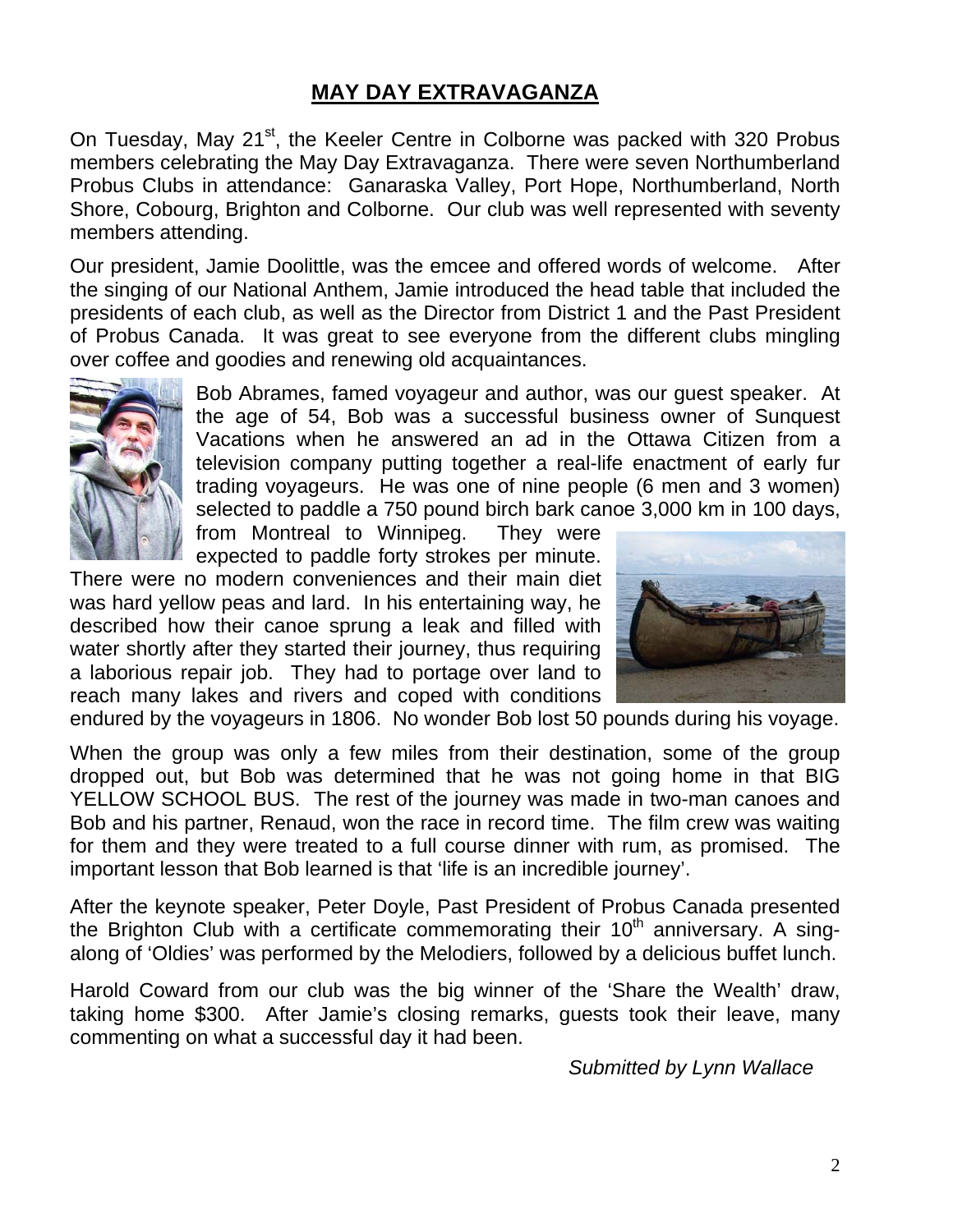### **MAY DAY EXTRAVAGANZA**

On Tuesday, May 21<sup>st</sup>, the Keeler Centre in Colborne was packed with 320 Probus members celebrating the May Day Extravaganza. There were seven Northumberland Probus Clubs in attendance: Ganaraska Valley, Port Hope, Northumberland, North Shore, Cobourg, Brighton and Colborne. Our club was well represented with seventy members attending.

Our president, Jamie Doolittle, was the emcee and offered words of welcome. After the singing of our National Anthem, Jamie introduced the head table that included the presidents of each club, as well as the Director from District 1 and the Past President of Probus Canada. It was great to see everyone from the different clubs mingling over coffee and goodies and renewing old acquaintances.



Bob Abrames, famed voyageur and author, was our guest speaker. At the age of 54, Bob was a successful business owner of Sunquest Vacations when he answered an ad in the Ottawa Citizen from a television company putting together a real-life enactment of early fur trading voyageurs. He was one of nine people (6 men and 3 women) selected to paddle a 750 pound birch bark canoe 3,000 km in 100 days,

from Montreal to Winnipeg. They were expected to paddle forty strokes per minute.

There were no modern conveniences and their main diet was hard yellow peas and lard. In his entertaining way, he described how their canoe sprung a leak and filled with water shortly after they started their journey, thus requiring a laborious repair job. They had to portage over land to reach many lakes and rivers and coped with conditions



endured by the voyageurs in 1806. No wonder Bob lost 50 pounds during his voyage.

When the group was only a few miles from their destination, some of the group dropped out, but Bob was determined that he was not going home in that BIG YELLOW SCHOOL BUS. The rest of the journey was made in two-man canoes and Bob and his partner, Renaud, won the race in record time. The film crew was waiting for them and they were treated to a full course dinner with rum, as promised. The important lesson that Bob learned is that 'life is an incredible journey'.

After the keynote speaker, Peter Doyle, Past President of Probus Canada presented the Brighton Club with a certificate commemorating their  $10<sup>th</sup>$  anniversary. A singalong of 'Oldies' was performed by the Melodiers, followed by a delicious buffet lunch.

Harold Coward from our club was the big winner of the 'Share the Wealth' draw, taking home \$300. After Jamie's closing remarks, guests took their leave, many commenting on what a successful day it had been.

 *Submitted by Lynn Wallace*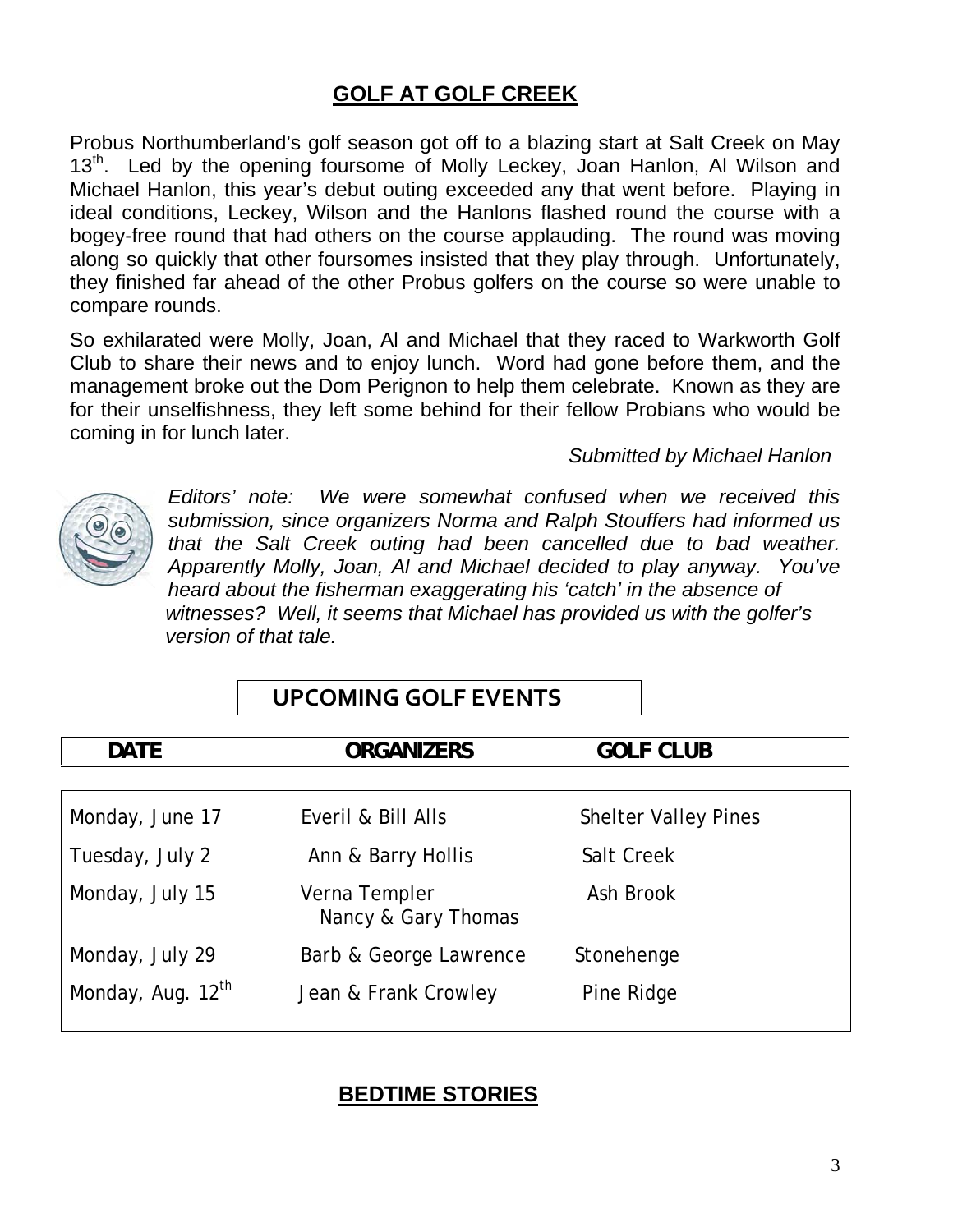### **GOLF AT GOLF CREEK**

Probus Northumberland's golf season got off to a blazing start at Salt Creek on May 13<sup>th</sup>. Led by the opening foursome of Molly Leckey, Joan Hanlon, Al Wilson and Michael Hanlon, this year's debut outing exceeded any that went before. Playing in ideal conditions, Leckey, Wilson and the Hanlons flashed round the course with a bogey-free round that had others on the course applauding. The round was moving along so quickly that other foursomes insisted that they play through. Unfortunately, they finished far ahead of the other Probus golfers on the course so were unable to compare rounds.

So exhilarated were Molly, Joan, Al and Michael that they raced to Warkworth Golf Club to share their news and to enjoy lunch. Word had gone before them, and the management broke out the Dom Perignon to help them celebrate. Known as they are for their unselfishness, they left some behind for their fellow Probians who would be coming in for lunch later.

*Submitted by Michael Hanlon* 



*Editors' note: We were somewhat confused when we received this submission, since organizers Norma and Ralph Stouffers had informed us that the Salt Creek outing had been cancelled due to bad weather. Apparently Molly, Joan, Al and Michael decided to play anyway. You've heard about the fisherman exaggerating his 'catch' in the absence of witnesses? Well, it seems that Michael has provided us with the golfer's version of that tale.* 

| <b>DATE</b>                   | <b>ORGANIZERS</b>                    | <b>GOLF CLUB</b>            |
|-------------------------------|--------------------------------------|-----------------------------|
|                               |                                      |                             |
| Monday, June 17               | Everil & Bill Alls                   | <b>Shelter Valley Pines</b> |
| Tuesday, July 2               | Ann & Barry Hollis                   | Salt Creek                  |
| Monday, July 15               | Verna Templer<br>Nancy & Gary Thomas | Ash Brook                   |
| Monday, July 29               | Barb & George Lawrence               | Stonehenge                  |
| Monday, Aug. 12 <sup>th</sup> | Jean & Frank Crowley                 | Pine Ridge                  |

### **UPCOMING GOLF EVENTS**

#### **BEDTIME STORIES**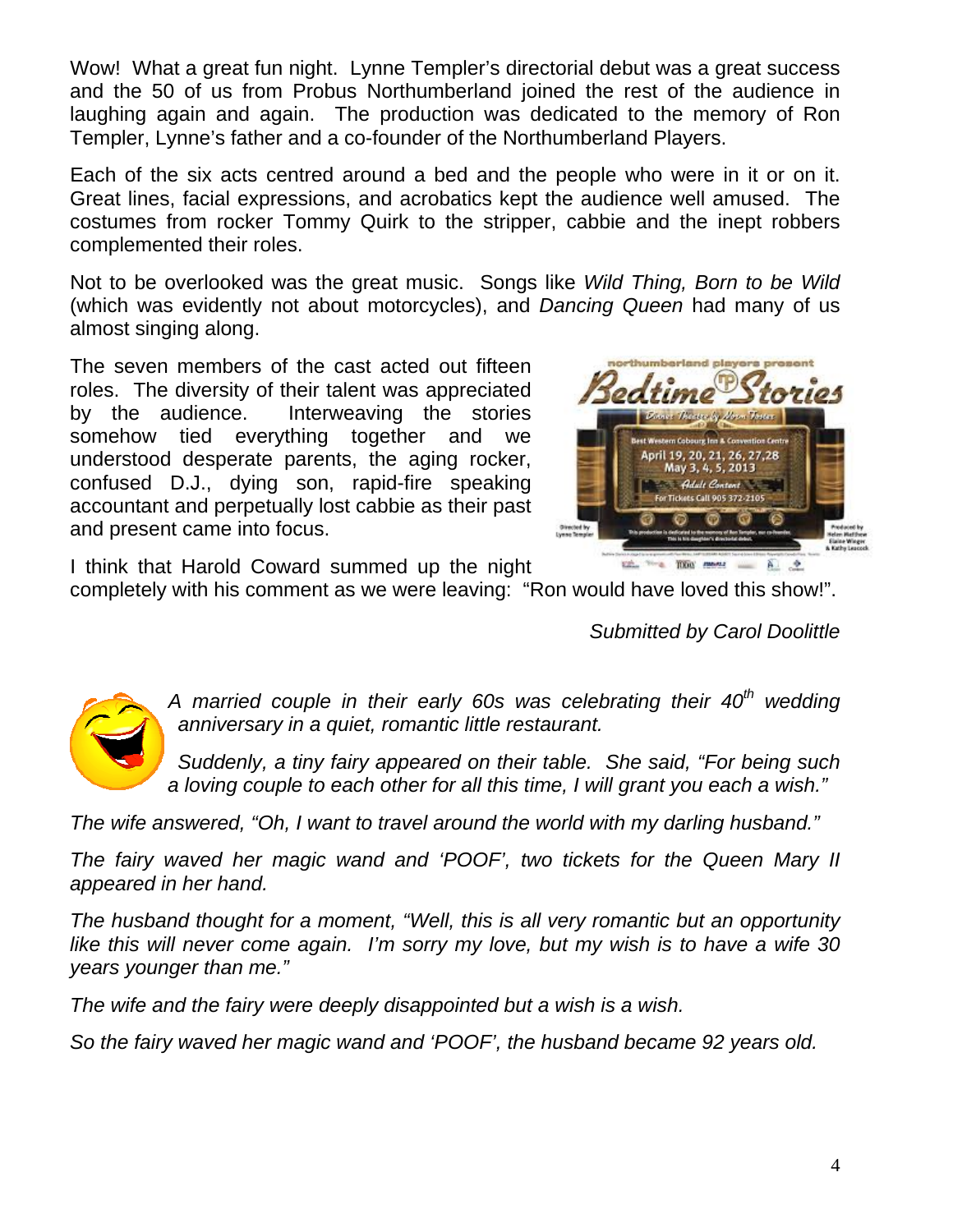Wow! What a great fun night. Lynne Templer's directorial debut was a great success and the 50 of us from Probus Northumberland joined the rest of the audience in laughing again and again. The production was dedicated to the memory of Ron Templer, Lynne's father and a co-founder of the Northumberland Players.

 Each of the six acts centred around a bed and the people who were in it or on it. Great lines, facial expressions, and acrobatics kept the audience well amused. The costumes from rocker Tommy Quirk to the stripper, cabbie and the inept robbers complemented their roles.

 Not to be overlooked was the great music. Songs like *Wild Thing, Born to be Wild*  (which was evidently not about motorcycles), and *Dancing Queen* had many of us almost singing along.

 The seven members of the cast acted out fifteen roles. The diversity of their talent was appreciated by the audience. Interweaving the stories somehow tied everything together and we understood desperate parents, the aging rocker, confused D.J., dying son, rapid-fire speaking accountant and perpetually lost cabbie as their past and present came into focus.



I think that Harold Coward summed up the night

completely with his comment as we were leaving: "Ron would have loved this show!".

 *Submitted by Carol Doolittle* 



A married couple in their early 60s was celebrating their 40<sup>th</sup> wedding *anniversary in a quiet, romantic little restaurant.* 

*Suddenly, a tiny fairy appeared on their table. She said, "For being such a loving couple to each other for all this time, I will grant you each a wish."* 

*The wife answered, "Oh, I want to travel around the world with my darling husband."* 

*The fairy waved her magic wand and 'POOF', two tickets for the Queen Mary II appeared in her hand.* 

*The husband thought for a moment, "Well, this is all very romantic but an opportunity like this will never come again. I'm sorry my love, but my wish is to have a wife 30 years younger than me."* 

*The wife and the fairy were deeply disappointed but a wish is a wish.* 

*So the fairy waved her magic wand and 'POOF', the husband became 92 years old.*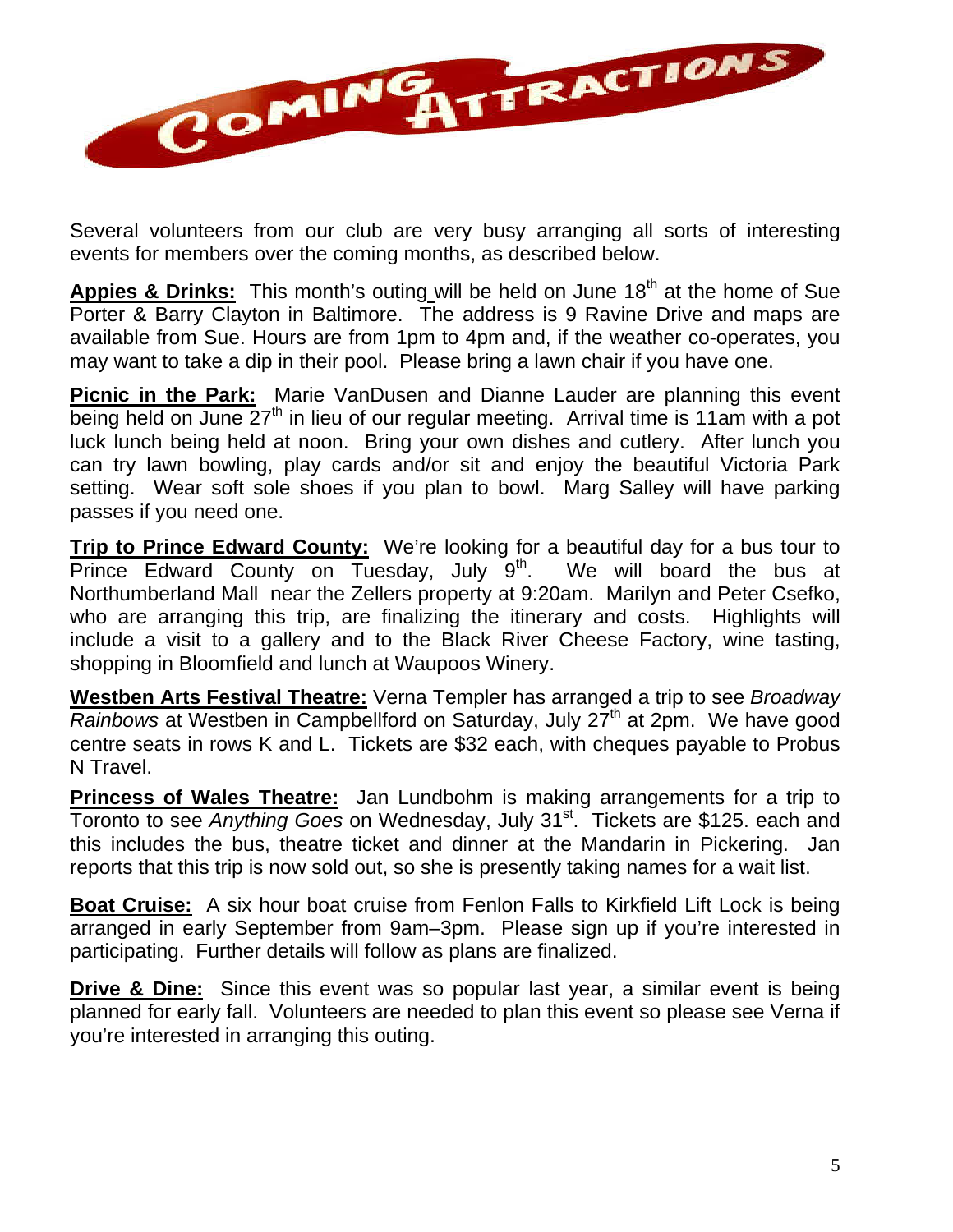

Several volunteers from our club are very busy arranging all sorts of interesting events for members over the coming months, as described below.

Appies & Drinks: This month's outing will be held on June 18<sup>th</sup> at the home of Sue Porter & Barry Clayton in Baltimore. The address is 9 Ravine Drive and maps are available from Sue. Hours are from 1pm to 4pm and, if the weather co-operates, you may want to take a dip in their pool. Please bring a lawn chair if you have one.

**Picnic in the Park:** Marie VanDusen and Dianne Lauder are planning this event being held on June  $27<sup>th</sup>$  in lieu of our regular meeting. Arrival time is 11am with a pot luck lunch being held at noon. Bring your own dishes and cutlery. After lunch you can try lawn bowling, play cards and/or sit and enjoy the beautiful Victoria Park setting. Wear soft sole shoes if you plan to bowl. Marg Salley will have parking passes if you need one.

**Trip to Prince Edward County:** We're looking for a beautiful day for a bus tour to Prince Edward County on Tuesday, July  $9<sup>th</sup>$ . We will board the bus at Northumberland Mall near the Zellers property at 9:20am. Marilyn and Peter Csefko, who are arranging this trip, are finalizing the itinerary and costs. Highlights will include a visit to a gallery and to the Black River Cheese Factory, wine tasting, shopping in Bloomfield and lunch at Waupoos Winery.

**Westben Arts Festival Theatre:** Verna Templer has arranged a trip to see *Broadway Rainbows* at Westben in Campbellford on Saturday, July 27<sup>th</sup> at 2pm. We have good centre seats in rows K and L. Tickets are \$32 each, with cheques payable to Probus N Travel.

**Princess of Wales Theatre:** Jan Lundbohm is making arrangements for a trip to Toronto to see *Anything Goes* on Wednesday, July 31<sup>st</sup>. Tickets are \$125. each and this includes the bus, theatre ticket and dinner at the Mandarin in Pickering. Jan reports that this trip is now sold out, so she is presently taking names for a wait list.

**Boat Cruise:** A six hour boat cruise from Fenlon Falls to Kirkfield Lift Lock is being arranged in early September from 9am–3pm. Please sign up if you're interested in participating. Further details will follow as plans are finalized.

**Drive & Dine:** Since this event was so popular last year, a similar event is being planned for early fall. Volunteers are needed to plan this event so please see Verna if you're interested in arranging this outing.